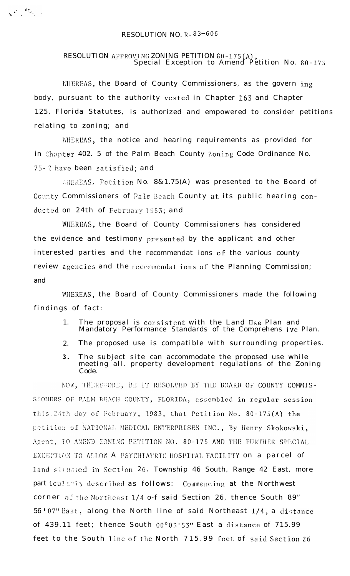## RESOLUTION NO.  $R - 83 - 606$

 $\sqrt{2\pi}\frac{2\pi}{\sqrt{2}}\int_{-\infty}^{\infty}d\tau\int_{-\infty}^{\infty}d\tau\int_{-\infty}^{\infty}d\tau\int_{-\infty}^{\infty}d\tau\int_{-\infty}^{\infty}d\tau\int_{-\infty}^{\infty}d\tau\int_{-\infty}^{\infty}d\tau\int_{-\infty}^{\infty}d\tau\int_{-\infty}^{\infty}d\tau\int_{-\infty}^{\infty}d\tau\int_{-\infty}^{\infty}d\tau\int_{-\infty}^{\infty}d\tau\int_{-\infty}^{\infty}d\tau\int_{-\infty}$ 

## RESOLUTION APPROVING ZONING PETITION 80-175(A),<br>Special Exception to Amend Petition No. 80-175

WIEREAS, the Board of County Commissioners, as the govern ing body, pursuant to the authority vested in Chapter 163 and Chapter 125, Florida Statutes, is authorized and empowered to consider petitions relating to zoning; and

WHEREAS, the notice and hearing requirements as provided for in Chapter 402. 5 of the Palm Beach County Zoning Code Ordinance No. 75-2 have been satisfied; and

AHEREAS, Petition No. 8&1.75(A) was presented to the Board of County Commissioners of Palm Beach County at its public hearing conducted on 24th of February 1983; and

WHEREAS, the Board of County Commissioners has considered the evidence and testimony presented by the applicant and other interested parties and the recommendat ions of the various county review agencies and the recommendations of the Planning Commission; and

WHEREAS, the Board of County Commissioners made the following findings of fact:

- The proposal is consistent with the Land Use Plan and<br>Mandatory Performance Standards of the Comprehens ive Plan.  $1.$
- $2.$ The proposed use is compatible with surrounding properties.
- The subject site can accommodate the proposed use while<br>meeting all. property development regulations of the Zoning  $3<sub>1</sub>$ Code.

NOW, THEREFORE, BE IT RESOLVED BY THE BOARD OF COUNTY COMMIS-SIONERS OF PALM BEACH COUNTY, FLORIDA, assembled in regular session this 24th day of February, 1983, that Petition No. 80-175(A) the petition of NATIONAL MEDICAL ENTERPRISES INC., By Henry Skokowski, Agent, TO AMEND ZONING PETITION NO. 80-175 AND THE FURTHER SPECIAL EXCEPTION TO ALLOW A PSYCHIATRIC HOSPITAL FACILITY on a parcel of land situated in Section 26, Township 46 South, Range 42 East, more particularly described as follows: Commencing at the Northwest corner of the Northeast 1/4 o-f said Section 26, thence South 89" 56'07" East, along the North line of said Northeast 1/4, a distance of 439.11 feet; thence South 00°03'53" East a distance of 715.99 feet to the South line of the North 715.99 feet of said Section 26